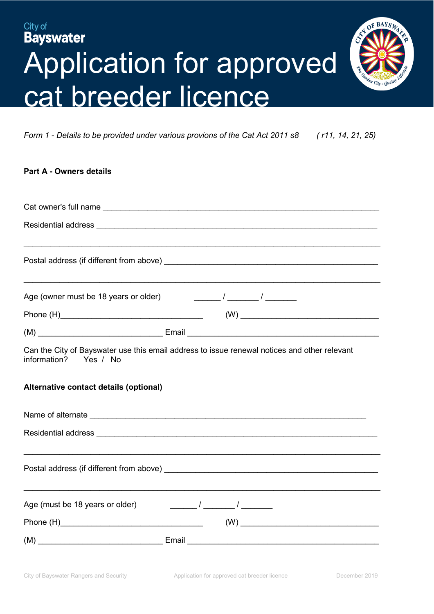# City of **Bayswater** Application for approved cat breeder licence



*Form 1 - Details to be provided under various provions of the Cat Act 2011 s8 ( r11, 14, 21, 25)*

| <b>Part A - Owners details</b>                                              |                                                                                                                                                                                                                                                                                                                                                                                 |  |  |
|-----------------------------------------------------------------------------|---------------------------------------------------------------------------------------------------------------------------------------------------------------------------------------------------------------------------------------------------------------------------------------------------------------------------------------------------------------------------------|--|--|
|                                                                             |                                                                                                                                                                                                                                                                                                                                                                                 |  |  |
|                                                                             |                                                                                                                                                                                                                                                                                                                                                                                 |  |  |
|                                                                             |                                                                                                                                                                                                                                                                                                                                                                                 |  |  |
|                                                                             |                                                                                                                                                                                                                                                                                                                                                                                 |  |  |
|                                                                             |                                                                                                                                                                                                                                                                                                                                                                                 |  |  |
| Age (owner must be 18 years or older) $\frac{1}{2}$ / ________ / ________ / | ,我们也不会有什么。""我们的人,我们也不会有什么?""我们的人,我们也不会有什么?""我们的人,我们也不会有什么?""我们的人,我们也不会有什么?""我们的人                                                                                                                                                                                                                                                                                                |  |  |
|                                                                             | $\left(\mathsf{W}\right) \begin{picture}(10,10) \put(0,0){\dashbox{0.5}(10,0){ }} \put(15,0){\dashbox{0.5}(10,0){ }} \put(15,0){\dashbox{0.5}(10,0){ }} \put(15,0){\dashbox{0.5}(10,0){ }} \put(15,0){\dashbox{0.5}(10,0){ }} \put(15,0){\dashbox{0.5}(10,0){ }} \put(15,0){\dashbox{0.5}(10,0){ }} \put(15,0){\dashbox{0.5}(10,0){ }} \put(15,0){\dashbox{0.5}(10,0){ }} \put$ |  |  |
|                                                                             |                                                                                                                                                                                                                                                                                                                                                                                 |  |  |
| information? Yes / No                                                       | Can the City of Bayswater use this email address to issue renewal notices and other relevant                                                                                                                                                                                                                                                                                    |  |  |
| Alternative contact details (optional)                                      |                                                                                                                                                                                                                                                                                                                                                                                 |  |  |
|                                                                             |                                                                                                                                                                                                                                                                                                                                                                                 |  |  |
|                                                                             |                                                                                                                                                                                                                                                                                                                                                                                 |  |  |
|                                                                             | <u> 1989 - 1989 - 1989 - 1989 - 1989 - 1989 - 1989 - 1989 - 1989 - 1989 - 1989 - 1989 - 1989 - 1989 - 1989 - 19</u>                                                                                                                                                                                                                                                             |  |  |
|                                                                             |                                                                                                                                                                                                                                                                                                                                                                                 |  |  |
|                                                                             |                                                                                                                                                                                                                                                                                                                                                                                 |  |  |
| Age (must be 18 years or older)                                             | $\sqrt{2}$ $\sqrt{2}$                                                                                                                                                                                                                                                                                                                                                           |  |  |
|                                                                             |                                                                                                                                                                                                                                                                                                                                                                                 |  |  |
|                                                                             |                                                                                                                                                                                                                                                                                                                                                                                 |  |  |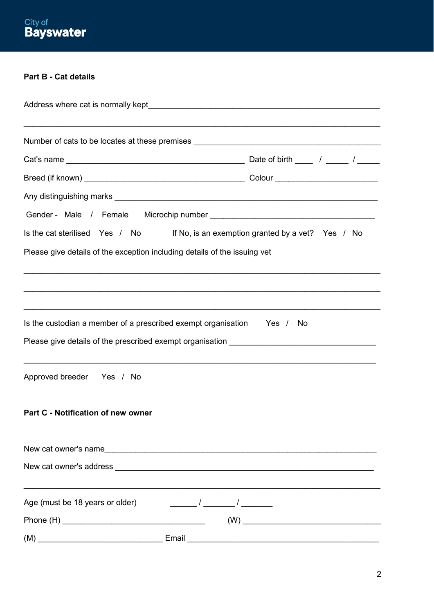# **Part B - Cat details**

| ,我们也不能在这里的人,我们也不能在这里的人,我们也不能不能不能不能不能不能不能不能不能不能不能。""我们的人,我们也不能不能不能不能不能不能不能不能不能不能不能<br>Number of cats to be locates at these premises _________________________________ |  |  |  |  |
|-----------------------------------------------------------------------------------------------------------------------------------------------------------------------|--|--|--|--|
|                                                                                                                                                                       |  |  |  |  |
|                                                                                                                                                                       |  |  |  |  |
|                                                                                                                                                                       |  |  |  |  |
|                                                                                                                                                                       |  |  |  |  |
| Is the cat sterilised Yes / No If No, is an exemption granted by a vet? Yes / No                                                                                      |  |  |  |  |
| Please give details of the exception including details of the issuing vet                                                                                             |  |  |  |  |
| ,我们也不能在这里的时候,我们也不能在这里的时候,我们也不能不能不能不能不能不能不能不能不能不能不能不能不能不能不能。""我们的是,我们也不能不能不能不能不能不能                                                                                     |  |  |  |  |
|                                                                                                                                                                       |  |  |  |  |
|                                                                                                                                                                       |  |  |  |  |
| Is the custodian a member of a prescribed exempt organisation Yes / No                                                                                                |  |  |  |  |
|                                                                                                                                                                       |  |  |  |  |
|                                                                                                                                                                       |  |  |  |  |
| Approved breeder Yes / No                                                                                                                                             |  |  |  |  |
|                                                                                                                                                                       |  |  |  |  |
| Part C - Notification of new owner                                                                                                                                    |  |  |  |  |
|                                                                                                                                                                       |  |  |  |  |
|                                                                                                                                                                       |  |  |  |  |
|                                                                                                                                                                       |  |  |  |  |
| Age (must be 18 years or older)<br>$\frac{1}{\sqrt{2\pi}}$ / $\frac{1}{\sqrt{2\pi}}$ / $\frac{1}{\sqrt{2\pi}}$                                                        |  |  |  |  |
|                                                                                                                                                                       |  |  |  |  |
| $(M)$ $\qquad \qquad$ Email $\qquad \qquad$ Email $\qquad \qquad$ Email $\qquad \qquad$ Email $\qquad \qquad$                                                         |  |  |  |  |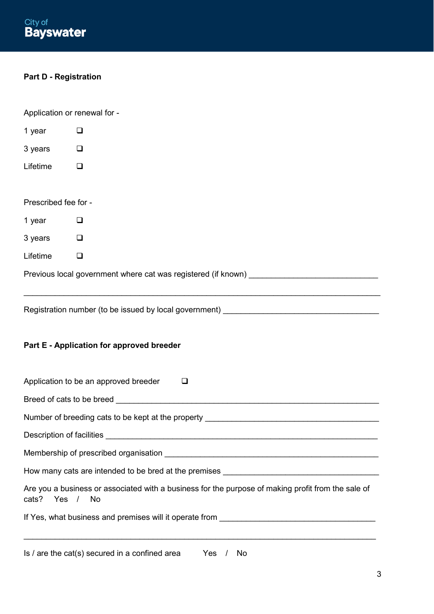#### **Part D - Registration**

Application or renewal for - 1 year  $\Box$ 3 years  $\Box$ Lifetime <sup>D</sup> Prescribed fee for - 1 year  $\Box$ 3 years  $\Box$  $L$ ifetime  $\Box$ Previous local government where cat was registered (if known)  $\_$  , and the set of the set of the set of the set of the set of the set of the set of the set of the set of the set of the set of the set of the set of the set of the set of the set of the set of the set of the set of th Registration number (to be issued by local government) \_\_\_\_\_\_\_\_\_\_\_\_\_\_\_\_\_\_\_\_\_\_\_\_\_ **Part E - Application for approved breeder** Application to be an approved breeder  $\Box$ Breed of cats to be breed **Exercise 2** and the set of cats to be breed **and the set of cats**  $\frac{1}{2}$ Number of breeding cats to be kept at the property \_\_\_\_\_\_\_\_\_\_\_\_\_\_\_\_\_\_\_\_\_\_\_\_\_\_\_\_\_ Description of facilities **Exercise 20** and the set of the set of the set of the set of the set of the set of the set of the set of the set of the set of the set of the set of the set of the set of the set of the set of th Membership of prescribed organisation **Example 2018** How many cats are intended to be bred at the premises

Are you a business or associated with a business for the purpose of making profit from the sale of cats? Yes / No

 $\_$  ,  $\_$  ,  $\_$  ,  $\_$  ,  $\_$  ,  $\_$  ,  $\_$  ,  $\_$  ,  $\_$  ,  $\_$  ,  $\_$  ,  $\_$  ,  $\_$  ,  $\_$  ,  $\_$  ,  $\_$  ,  $\_$  ,  $\_$  ,  $\_$  ,  $\_$  ,  $\_$  ,  $\_$  ,  $\_$  ,  $\_$  ,  $\_$  ,  $\_$  ,  $\_$  ,  $\_$  ,  $\_$  ,  $\_$  ,  $\_$  ,  $\_$  ,  $\_$  ,  $\_$  ,  $\_$  ,  $\_$  ,  $\_$  ,

If Yes, what business and premises will it operate from \_\_\_\_\_\_\_\_\_\_\_\_\_\_\_\_\_\_\_\_\_\_\_\_

Is / are the cat(s) secured in a confined area Yes / No